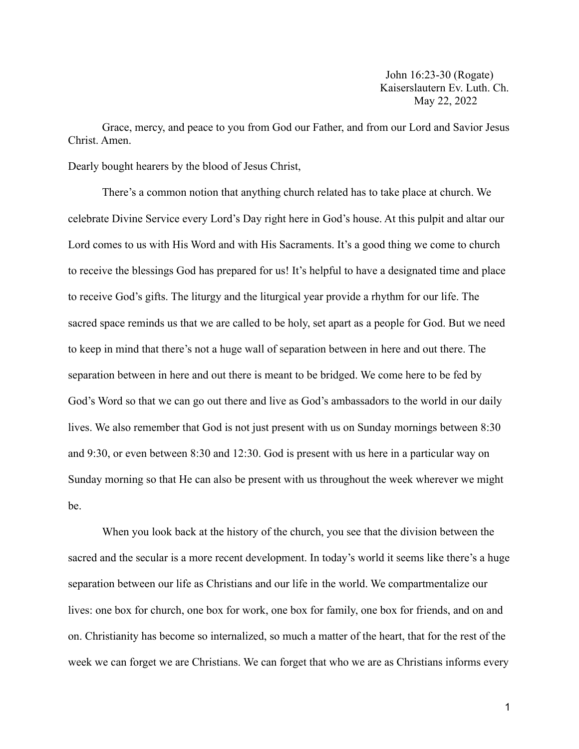John 16:23-30 (Rogate) Kaiserslautern Ev. Luth. Ch. May 22, 2022

Grace, mercy, and peace to you from God our Father, and from our Lord and Savior Jesus Christ. Amen.

Dearly bought hearers by the blood of Jesus Christ,

There's a common notion that anything church related has to take place at church. We celebrate Divine Service every Lord's Day right here in God's house. At this pulpit and altar our Lord comes to us with His Word and with His Sacraments. It's a good thing we come to church to receive the blessings God has prepared for us! It's helpful to have a designated time and place to receive God's gifts. The liturgy and the liturgical year provide a rhythm for our life. The sacred space reminds us that we are called to be holy, set apart as a people for God. But we need to keep in mind that there's not a huge wall of separation between in here and out there. The separation between in here and out there is meant to be bridged. We come here to be fed by God's Word so that we can go out there and live as God's ambassadors to the world in our daily lives. We also remember that God is not just present with us on Sunday mornings between 8:30 and 9:30, or even between 8:30 and 12:30. God is present with us here in a particular way on Sunday morning so that He can also be present with us throughout the week wherever we might be.

When you look back at the history of the church, you see that the division between the sacred and the secular is a more recent development. In today's world it seems like there's a huge separation between our life as Christians and our life in the world. We compartmentalize our lives: one box for church, one box for work, one box for family, one box for friends, and on and on. Christianity has become so internalized, so much a matter of the heart, that for the rest of the week we can forget we are Christians. We can forget that who we are as Christians informs every

1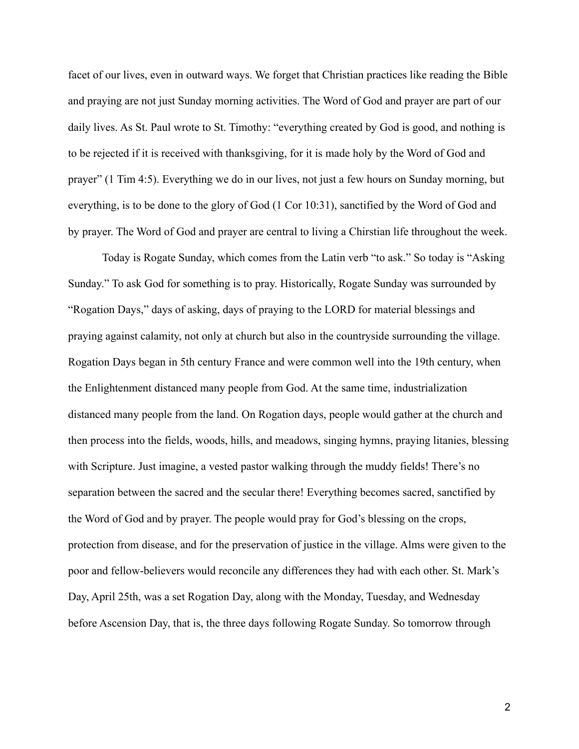facet of our lives, even in outward ways. We forget that Christian practices like reading the Bible and praying are not just Sunday morning activities. The Word of God and prayer are part of our daily lives. As St. Paul wrote to St. Timothy: "everything created by God is good, and nothing is to be rejected if it is received with thanksgiving, for it is made holy by the Word of God and prayer" (1 Tim 4:5). Everything we do in our lives, not just a few hours on Sunday morning, but everything, is to be done to the glory of God (1 Cor 10:31), sanctified by the Word of God and by prayer. The Word of God and prayer are central to living a Chirstian life throughout the week.

Today is Rogate Sunday, which comes from the Latin verb "to ask." So today is "Asking Sunday." To ask God for something is to pray. Historically, Rogate Sunday was surrounded by "Rogation Days," days of asking, days of praying to the LORD for material blessings and praying against calamity, not only at church but also in the countryside surrounding the village. Rogation Days began in 5th century France and were common well into the 19th century, when the Enlightenment distanced many people from God. At the same time, industrialization distanced many people from the land. On Rogation days, people would gather at the church and then process into the fields, woods, hills, and meadows, singing hymns, praying litanies, blessing with Scripture. Just imagine, a vested pastor walking through the muddy fields! There's no separation between the sacred and the secular there! Everything becomes sacred, sanctified by the Word of God and by prayer. The people would pray for God's blessing on the crops, protection from disease, and for the preservation of justice in the village. Alms were given to the poor and fellow-believers would reconcile any differences they had with each other. St. Mark's Day, April 25th, was a set Rogation Day, along with the Monday, Tuesday, and Wednesday before Ascension Day, that is, the three days following Rogate Sunday. So tomorrow through

2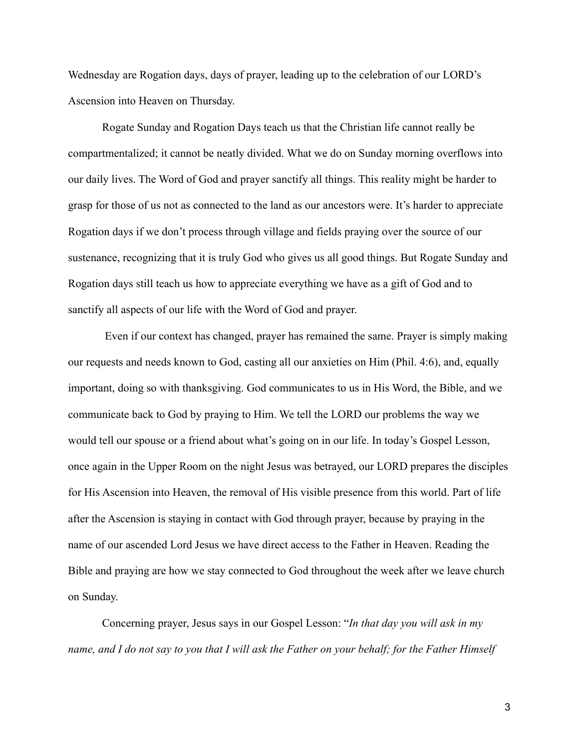Wednesday are Rogation days, days of prayer, leading up to the celebration of our LORD's Ascension into Heaven on Thursday.

Rogate Sunday and Rogation Days teach us that the Christian life cannot really be compartmentalized; it cannot be neatly divided. What we do on Sunday morning overflows into our daily lives. The Word of God and prayer sanctify all things. This reality might be harder to grasp for those of us not as connected to the land as our ancestors were. It's harder to appreciate Rogation days if we don't process through village and fields praying over the source of our sustenance, recognizing that it is truly God who gives us all good things. But Rogate Sunday and Rogation days still teach us how to appreciate everything we have as a gift of God and to sanctify all aspects of our life with the Word of God and prayer.

Even if our context has changed, prayer has remained the same. Prayer is simply making our requests and needs known to God, casting all our anxieties on Him (Phil. 4:6), and, equally important, doing so with thanksgiving. God communicates to us in His Word, the Bible, and we communicate back to God by praying to Him. We tell the LORD our problems the way we would tell our spouse or a friend about what's going on in our life. In today's Gospel Lesson, once again in the Upper Room on the night Jesus was betrayed, our LORD prepares the disciples for His Ascension into Heaven, the removal of His visible presence from this world. Part of life after the Ascension is staying in contact with God through prayer, because by praying in the name of our ascended Lord Jesus we have direct access to the Father in Heaven. Reading the Bible and praying are how we stay connected to God throughout the week after we leave church on Sunday.

Concerning prayer, Jesus says in our Gospel Lesson: "*In that day you will ask in my name, and I do not say to you that I will ask the Father on your behalf; for the Father Himself*

3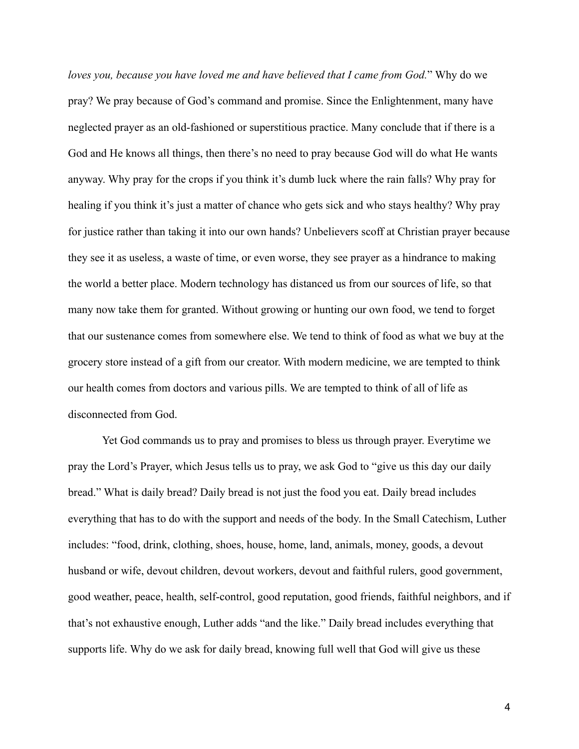*loves you, because you have loved me and have believed that I came from God.*" Why do we pray? We pray because of God's command and promise. Since the Enlightenment, many have neglected prayer as an old-fashioned or superstitious practice. Many conclude that if there is a God and He knows all things, then there's no need to pray because God will do what He wants anyway. Why pray for the crops if you think it's dumb luck where the rain falls? Why pray for healing if you think it's just a matter of chance who gets sick and who stays healthy? Why pray for justice rather than taking it into our own hands? Unbelievers scoff at Christian prayer because they see it as useless, a waste of time, or even worse, they see prayer as a hindrance to making the world a better place. Modern technology has distanced us from our sources of life, so that many now take them for granted. Without growing or hunting our own food, we tend to forget that our sustenance comes from somewhere else. We tend to think of food as what we buy at the grocery store instead of a gift from our creator. With modern medicine, we are tempted to think our health comes from doctors and various pills. We are tempted to think of all of life as disconnected from God.

Yet God commands us to pray and promises to bless us through prayer. Everytime we pray the Lord's Prayer, which Jesus tells us to pray, we ask God to "give us this day our daily bread." What is daily bread? Daily bread is not just the food you eat. Daily bread includes everything that has to do with the support and needs of the body. In the Small Catechism, Luther includes: "food, drink, clothing, shoes, house, home, land, animals, money, goods, a devout husband or wife, devout children, devout workers, devout and faithful rulers, good government, good weather, peace, health, self-control, good reputation, good friends, faithful neighbors, and if that's not exhaustive enough, Luther adds "and the like." Daily bread includes everything that supports life. Why do we ask for daily bread, knowing full well that God will give us these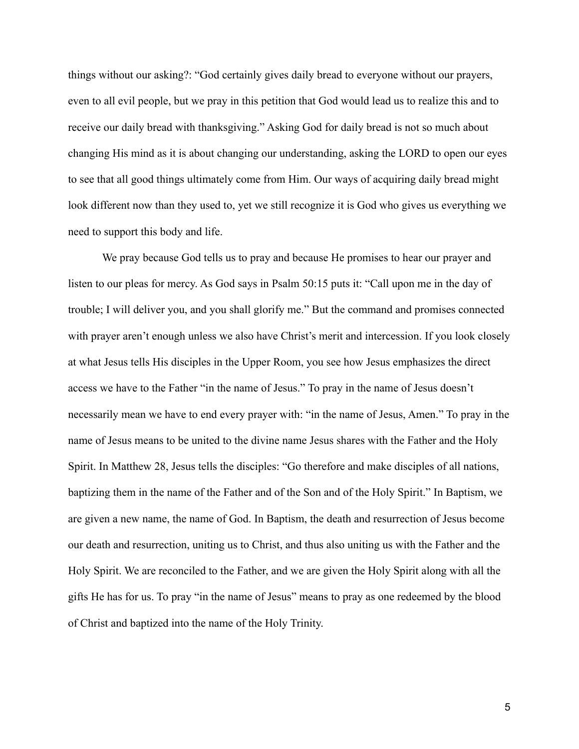things without our asking?: "God certainly gives daily bread to everyone without our prayers, even to all evil people, but we pray in this petition that God would lead us to realize this and to receive our daily bread with thanksgiving." Asking God for daily bread is not so much about changing His mind as it is about changing our understanding, asking the LORD to open our eyes to see that all good things ultimately come from Him. Our ways of acquiring daily bread might look different now than they used to, yet we still recognize it is God who gives us everything we need to support this body and life.

We pray because God tells us to pray and because He promises to hear our prayer and listen to our pleas for mercy. As God says in Psalm 50:15 puts it: "Call upon me in the day of trouble; I will deliver you, and you shall glorify me." But the command and promises connected with prayer aren't enough unless we also have Christ's merit and intercession. If you look closely at what Jesus tells His disciples in the Upper Room, you see how Jesus emphasizes the direct access we have to the Father "in the name of Jesus." To pray in the name of Jesus doesn't necessarily mean we have to end every prayer with: "in the name of Jesus, Amen." To pray in the name of Jesus means to be united to the divine name Jesus shares with the Father and the Holy Spirit. In Matthew 28, Jesus tells the disciples: "Go therefore and make disciples of all nations, baptizing them in the name of the Father and of the Son and of the Holy Spirit." In Baptism, we are given a new name, the name of God. In Baptism, the death and resurrection of Jesus become our death and resurrection, uniting us to Christ, and thus also uniting us with the Father and the Holy Spirit. We are reconciled to the Father, and we are given the Holy Spirit along with all the gifts He has for us. To pray "in the name of Jesus" means to pray as one redeemed by the blood of Christ and baptized into the name of the Holy Trinity.